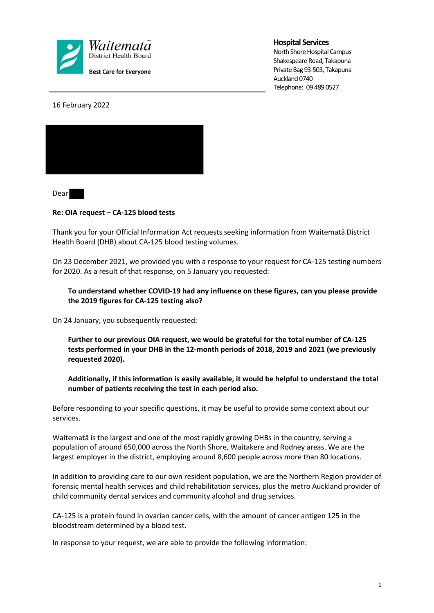

### **Hospital Services**

North Shore Hospital Campus Shakespeare Road, Takapuna Private Bag 93-503, Takapuna Auckland 0740 Telephone: 09 489 0527

16 February 2022



Dear

### **Re: OIA request – CA-125 blood tests**

Thank you for your Official Information Act requests seeking information from Waitematā District Health Board (DHB) about CA-125 blood testing volumes.

On 23 December 2021, we provided you with a response to your request for CA-125 testing numbers for 2020. As a result of that response, on 5 January you requested:

## **To understand whether COVID-19 had any influence on these figures, can you please provide the 2019 figures for CA-125 testing also?**

On 24 January, you subsequently requested:

**Further to our previous OIA request, we would be grateful for the total number of CA-125 tests performed in your DHB in the 12-month periods of 2018, 2019 and 2021 (we previously requested 2020).** 

**Additionally, if this information is easily available, it would be helpful to understand the total number of patients receiving the test in each period also.**

Before responding to your specific questions, it may be useful to provide some context about our services.

Waitematā is the largest and one of the most rapidly growing DHBs in the country, serving a population of around 650,000 across the North Shore, Waitakere and Rodney areas. We are the largest employer in the district, employing around 8,600 people across more than 80 locations.

In addition to providing care to our own resident population, we are the Northern Region provider of forensic mental health services and child rehabilitation services, plus the metro Auckland provider of child community dental services and community alcohol and drug services.

CA-125 is a protein found in ovarian cancer cells, with the amount of cancer antigen 125 in the bloodstream determined by a blood test.

In response to your request, we are able to provide the following information: